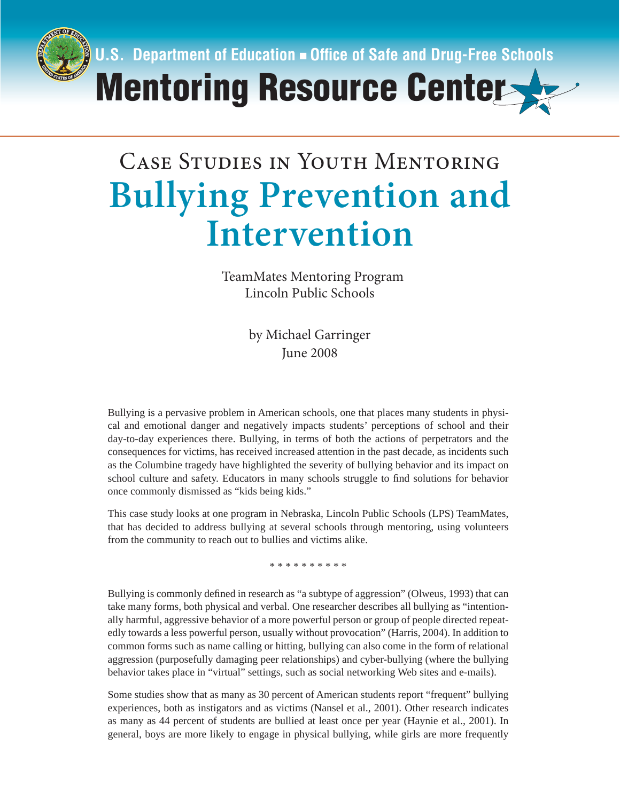

# $\Gamma$ <sub>c</sub>  $\Gamma$ <sup>1</sup> **Bullying Prevention and Intervention**

TeamMates Mentoring Program Lincoln Public Schools

> by Michael Garringer June 2008

Bullying is a pervasive problem in American schools, one that places many students in physical and emotional danger and negatively impacts students' perceptions of school and their day-to-day experiences there. Bullying, in terms of both the actions of perpetrators and the consequences for victims, has received increased attention in the past decade, as incidents such as the Columbine tragedy have highlighted the severity of bullying behavior and its impact on school culture and safety. Educators in many schools struggle to find solutions for behavior once commonly dismissed as "kids being kids."

This case study looks at one program in Nebraska, Lincoln Public Schools (LPS) TeamMates, that has decided to address bullying at several schools through mentoring, using volunteers from the community to reach out to bullies and victims alike.

\* \* \* \* \* \* \* \* \*

Bullying is commonly defined in research as "a subtype of aggression" (Olweus, 1993) that can take many forms, both physical and verbal. One researcher describes all bullying as "intentionally harmful, aggressive behavior of a more powerful person or group of people directed repeatedly towards a less powerful person, usually without provocation" (Harris, 2004). In addition to common forms such as name calling or hitting, bullying can also come in the form of relational aggression (purposefully damaging peer relationships) and cyber-bullying (where the bullying behavior takes place in "virtual" settings, such as social networking Web sites and e-mails).

Some studies show that as many as 30 percent of American students report "frequent" bullying experiences, both as instigators and as victims (Nansel et al., 2001). Other research indicates as many as 44 percent of students are bullied at least once per year (Haynie et al., 2001). In general, boys are more likely to engage in physical bullying, while girls are more frequently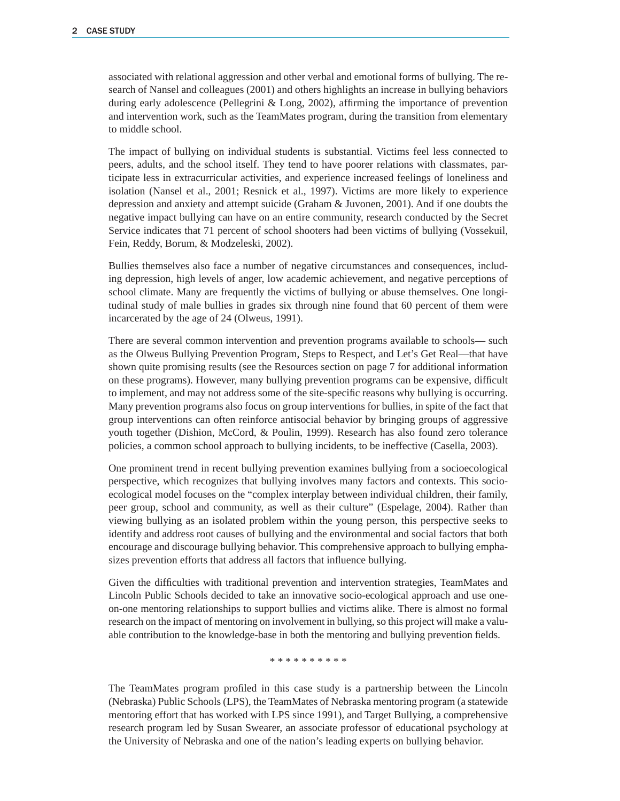associated with relational aggression and other verbal and emotional forms of bullying. The research of Nansel and colleagues (2001) and others highlights an increase in bullying behaviors during early adolescence (Pellegrini  $\&$  Long, 2002), affirming the importance of prevention and intervention work, such as the TeamMates program, during the transition from elementary to middle school.

The impact of bullying on individual students is substantial. Victims feel less connected to peers, adults, and the school itself. They tend to have poorer relations with classmates, participate less in extracurricular activities, and experience increased feelings of loneliness and isolation (Nansel et al., 2001; Resnick et al., 1997). Victims are more likely to experience depression and anxiety and attempt suicide (Graham & Juvonen, 2001). And if one doubts the negative impact bullying can have on an entire community, research conducted by the Secret Service indicates that 71 percent of school shooters had been victims of bullying (Vossekuil, Fein, Reddy, Borum, & Modzeleski, 2002).

Bullies themselves also face a number of negative circumstances and consequences, including depression, high levels of anger, low academic achievement, and negative perceptions of school climate. Many are frequently the victims of bullying or abuse themselves. One longitudinal study of male bullies in grades six through nine found that 60 percent of them were incarcerated by the age of 24 (Olweus, 1991).

There are several common intervention and prevention programs available to schools— such as the Olweus Bullying Prevention Program, Steps to Respect, and Let's Get Real—that have shown quite promising results (see the Resources section on page 7 for additional information on these programs). However, many bullying prevention programs can be expensive, difficult to implement, and may not address some of the site-specific reasons why bullying is occurring. Many prevention programs also focus on group interventions for bullies, in spite of the fact that group interventions can often reinforce antisocial behavior by bringing groups of aggressive youth together (Dishion, McCord, & Poulin, 1999). Research has also found zero tolerance policies, a common school approach to bullying incidents, to be ineffective (Casella, 2003).

One prominent trend in recent bullying prevention examines bullying from a socioecological perspective, which recognizes that bullying involves many factors and contexts. This socioecological model focuses on the "complex interplay between individual children, their family, peer group, school and community, as well as their culture" (Espelage, 2004). Rather than viewing bullying as an isolated problem within the young person, this perspective seeks to identify and address root causes of bullying and the environmental and social factors that both encourage and discourage bullying behavior. This comprehensive approach to bullying emphasizes prevention efforts that address all factors that influence bullying.

Given the difficulties with traditional prevention and intervention strategies, TeamMates and Lincoln Public Schools decided to take an innovative socio-ecological approach and use oneon-one mentoring relationships to support bullies and victims alike. There is almost no formal research on the impact of mentoring on involvement in bullying, so this project will make a valuable contribution to the knowledge-base in both the mentoring and bullying prevention fields.

\* \* \* \* \* \* \* \* \* \*

The TeamMates program profiled in this case study is a partnership between the Lincoln (Nebraska) Public Schools (LPS), the TeamMates of Nebraska mentoring program (a statewide mentoring effort that has worked with LPS since 1991), and Target Bullying, a comprehensive research program led by Susan Swearer, an associate professor of educational psychology at the University of Nebraska and one of the nation's leading experts on bullying behavior.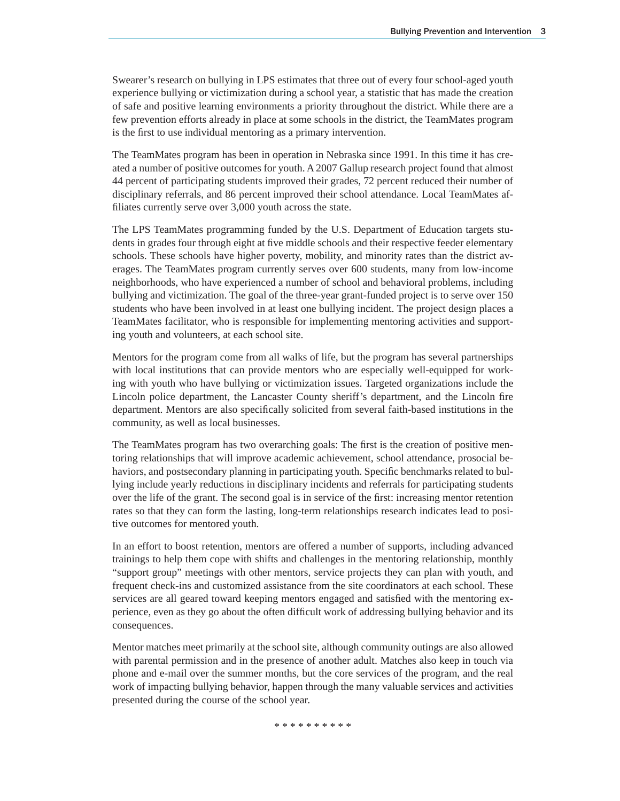Swearer's research on bullying in LPS estimates that three out of every four school-aged youth experience bullying or victimization during a school year, a statistic that has made the creation of safe and positive learning environments a priority throughout the district. While there are a few prevention efforts already in place at some schools in the district, the TeamMates program is the first to use individual mentoring as a primary intervention.

The TeamMates program has been in operation in Nebraska since 1991. In this time it has created a number of positive outcomes for youth. A 2007 Gallup research project found that almost 44 percent of participating students improved their grades, 72 percent reduced their number of disciplinary referrals, and 86 percent improved their school attendance. Local TeamMates affiliates currently serve over 3,000 youth across the state.

The LPS TeamMates programming funded by the U.S. Department of Education targets students in grades four through eight at five middle schools and their respective feeder elementary schools. These schools have higher poverty, mobility, and minority rates than the district averages. The TeamMates program currently serves over 600 students, many from low-income neighborhoods, who have experienced a number of school and behavioral problems, including bullying and victimization. The goal of the three-year grant-funded project is to serve over 150 students who have been involved in at least one bullying incident. The project design places a TeamMates facilitator, who is responsible for implementing mentoring activities and supporting youth and volunteers, at each school site.

Mentors for the program come from all walks of life, but the program has several partnerships with local institutions that can provide mentors who are especially well-equipped for working with youth who have bullying or victimization issues. Targeted organizations include the Lincoln police department, the Lancaster County sheriff's department, and the Lincoln fire department. Mentors are also specifically solicited from several faith-based institutions in the community, as well as local businesses.

The TeamMates program has two overarching goals: The first is the creation of positive mentoring relationships that will improve academic achievement, school attendance, prosocial behaviors, and postsecondary planning in participating youth. Specific benchmarks related to bullying include yearly reductions in disciplinary incidents and referrals for participating students over the life of the grant. The second goal is in service of the first: increasing mentor retention rates so that they can form the lasting, long-term relationships research indicates lead to positive outcomes for mentored youth.

In an effort to boost retention, mentors are offered a number of supports, including advanced trainings to help them cope with shifts and challenges in the mentoring relationship, monthly "support group" meetings with other mentors, service projects they can plan with youth, and frequent check-ins and customized assistance from the site coordinators at each school. These services are all geared toward keeping mentors engaged and satisfied with the mentoring experience, even as they go about the often difficult work of addressing bullying behavior and its consequences.

Mentor matches meet primarily at the school site, although community outings are also allowed with parental permission and in the presence of another adult. Matches also keep in touch via phone and e-mail over the summer months, but the core services of the program, and the real work of impacting bullying behavior, happen through the many valuable services and activities presented during the course of the school year.

\* \* \* \* \* \* \* \* \*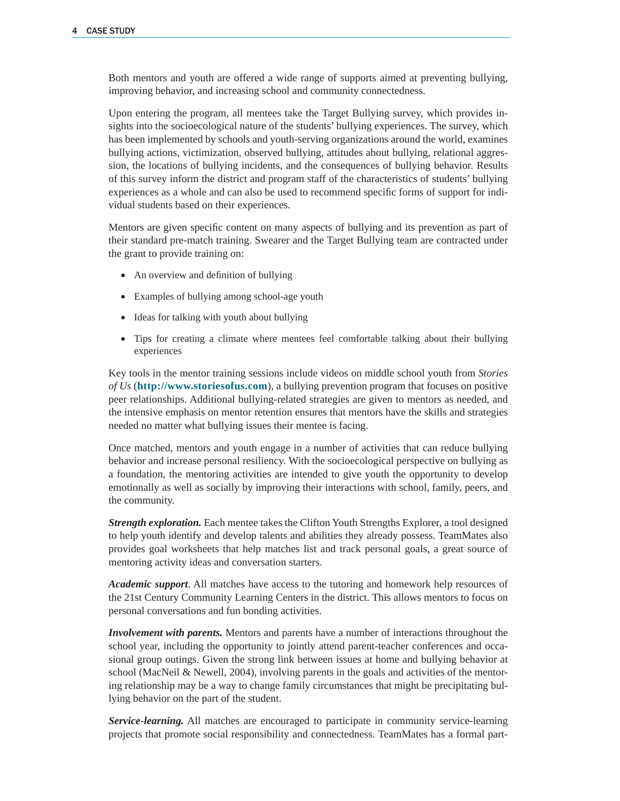Both mentors and youth are offered a wide range of supports aimed at preventing bullying, improving behavior, and increasing school and community connectedness.

Upon entering the program, all mentees take the Target Bullying survey, which provides insights into the socioecological nature of the students' bullying experiences. The survey, which has been implemented by schools and youth-serving organizations around the world, examines bullying actions, victimization, observed bullying, attitudes about bullying, relational aggression, the locations of bullying incidents, and the consequences of bullying behavior. Results of this survey inform the district and program staff of the characteristics of students' bullying experiences as a whole and can also be used to recommend specific forms of support for individual students based on their experiences.

Mentors are given specific content on many aspects of bullying and its prevention as part of their standard pre-match training. Swearer and the Target Bullying team are contracted under the grant to provide training on:

- An overview and definition of bullying
- Examples of bullying among school-age youth
- Ideas for talking with youth about bullying
- Tips for creating a climate where mentees feel comfortable talking about their bullying experiences

Key tools in the mentor training sessions include videos on middle school youth from *Stories of Us* (**http://www.storiesofus.com**), a bullying prevention program that focuses on positive peer relationships. Additional bullying-related strategies are given to mentors as needed, and the intensive emphasis on mentor retention ensures that mentors have the skills and strategies needed no matter what bullying issues their mentee is facing.

Once matched, mentors and youth engage in a number of activities that can reduce bullying behavior and increase personal resiliency. With the socioecological perspective on bullying as a foundation, the mentoring activities are intended to give youth the opportunity to develop emotionally as well as socially by improving their interactions with school, family, peers, and the community.

*Strength exploration.* Each mentee takes the Clifton Youth Strengths Explorer, a tool designed to help youth identify and develop talents and abilities they already possess. TeamMates also provides goal worksheets that help matches list and track personal goals, a great source of mentoring activity ideas and conversation starters.

*Academic support*. All matches have access to the tutoring and homework help resources of the 21st Century Community Learning Centers in the district. This allows mentors to focus on personal conversations and fun bonding activities.

*Involvement with parents.* Mentors and parents have a number of interactions throughout the school year, including the opportunity to jointly attend parent-teacher conferences and occasional group outings. Given the strong link between issues at home and bullying behavior at school (MacNeil & Newell, 2004), involving parents in the goals and activities of the mentoring relationship may be a way to change family circumstances that might be precipitating bullying behavior on the part of the student.

*Service-learning.* All matches are encouraged to participate in community service-learning projects that promote social responsibility and connectedness. TeamMates has a formal part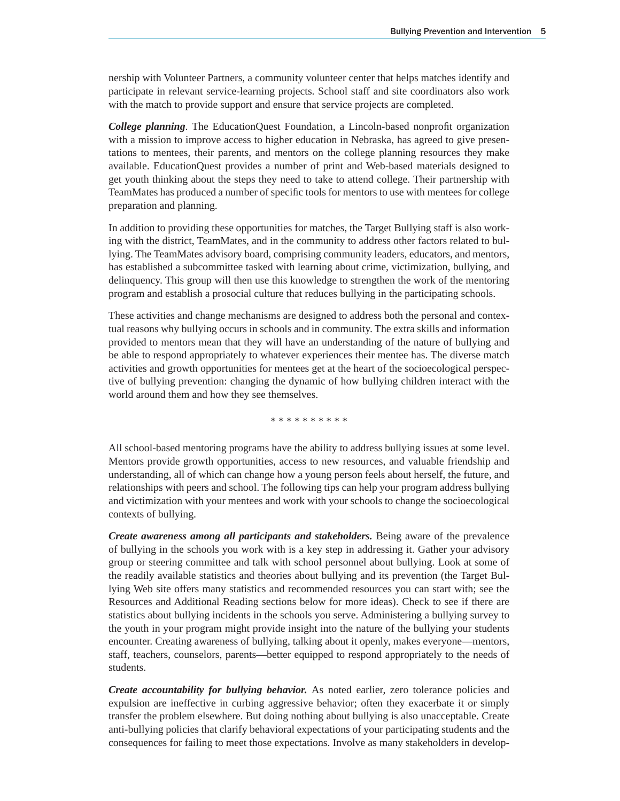nership with Volunteer Partners, a community volunteer center that helps matches identify and participate in relevant service-learning projects. School staff and site coordinators also work with the match to provide support and ensure that service projects are completed.

**College planning**. The EducationQuest Foundation, a Lincoln-based nonprofit organization with a mission to improve access to higher education in Nebraska, has agreed to give presentations to mentees, their parents, and mentors on the college planning resources they make available. EducationQuest provides a number of print and Web-based materials designed to get youth thinking about the steps they need to take to attend college. Their partnership with TeamMates has produced a number of specific tools for mentors to use with mentees for college preparation and planning.

In addition to providing these opportunities for matches, the Target Bullying staff is also working with the district, TeamMates, and in the community to address other factors related to bullying. The TeamMates advisory board, comprising community leaders, educators, and mentors, has established a subcommittee tasked with learning about crime, victimization, bullying, and delinquency. This group will then use this knowledge to strengthen the work of the mentoring program and establish a prosocial culture that reduces bullying in the participating schools.

These activities and change mechanisms are designed to address both the personal and contextual reasons why bullying occurs in schools and in community. The extra skills and information provided to mentors mean that they will have an understanding of the nature of bullying and be able to respond appropriately to whatever experiences their mentee has. The diverse match activities and growth opportunities for mentees get at the heart of the socioecological perspective of bullying prevention: changing the dynamic of how bullying children interact with the world around them and how they see themselves.

\* \* \* \* \* \* \* \* \* \*

All school-based mentoring programs have the ability to address bullying issues at some level. Mentors provide growth opportunities, access to new resources, and valuable friendship and understanding, all of which can change how a young person feels about herself, the future, and relationships with peers and school. The following tips can help your program address bullying and victimization with your mentees and work with your schools to change the socioecological contexts of bullying.

*Create awareness among all participants and stakeholders.* Being aware of the prevalence of bullying in the schools you work with is a key step in addressing it. Gather your advisory group or steering committee and talk with school personnel about bullying. Look at some of the readily available statistics and theories about bullying and its prevention (the Target Bullying Web site offers many statistics and recommended resources you can start with; see the Resources and Additional Reading sections below for more ideas). Check to see if there are statistics about bullying incidents in the schools you serve. Administering a bullying survey to the youth in your program might provide insight into the nature of the bullying your students encounter. Creating awareness of bullying, talking about it openly, makes everyone—mentors, staff, teachers, counselors, parents—better equipped to respond appropriately to the needs of students.

*Create accountability for bullying behavior.* As noted earlier, zero tolerance policies and expulsion are ineffective in curbing aggressive behavior; often they exacerbate it or simply transfer the problem elsewhere. But doing nothing about bullying is also unacceptable. Create anti-bullying policies that clarify behavioral expectations of your participating students and the consequences for failing to meet those expectations. Involve as many stakeholders in develop-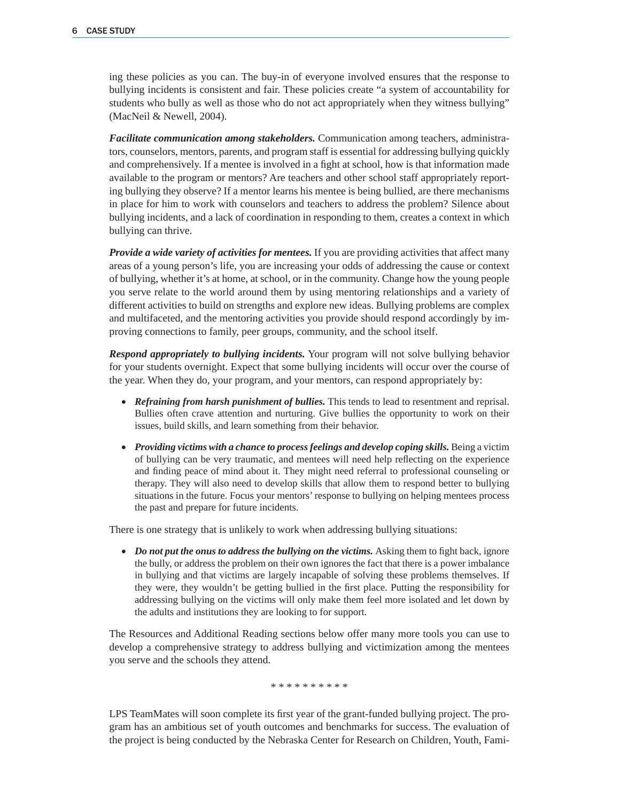ing these policies as you can. The buy-in of everyone involved ensures that the response to bullying incidents is consistent and fair. These policies create "a system of accountability for students who bully as well as those who do not act appropriately when they witness bullying" (MacNeil & Newell, 2004).

*Facilitate communication among stakeholders.* Communication among teachers, administrators, counselors, mentors, parents, and program staff is essential for addressing bullying quickly and comprehensively. If a mentee is involved in a fight at school, how is that information made available to the program or mentors? Are teachers and other school staff appropriately reporting bullying they observe? If a mentor learns his mentee is being bullied, are there mechanisms in place for him to work with counselors and teachers to address the problem? Silence about bullying incidents, and a lack of coordination in responding to them, creates a context in which bullying can thrive.

*Provide a wide variety of activities for mentees.* If you are providing activities that affect many areas of a young person's life, you are increasing your odds of addressing the cause or context of bullying, whether it's at home, at school, or in the community. Change how the young people you serve relate to the world around them by using mentoring relationships and a variety of different activities to build on strengths and explore new ideas. Bullying problems are complex and multifaceted, and the mentoring activities you provide should respond accordingly by improving connections to family, peer groups, community, and the school itself.

*Respond appropriately to bullying incidents.* Your program will not solve bullying behavior for your students overnight. Expect that some bullying incidents will occur over the course of the year. When they do, your program, and your mentors, can respond appropriately by:

- *Refraining from harsh punishment of bullies*. This tends to lead to resentment and reprisal. Bullies often crave attention and nurturing. Give bullies the opportunity to work on their issues, build skills, and learn something from their behavior.
- *Providing victims with a chance to process feelings and develop coping skills.* Being a victim of bullying can be very traumatic, and mentees will need help reflecting on the experience and finding peace of mind about it. They might need referral to professional counseling or therapy. They will also need to develop skills that allow them to respond better to bullying situations in the future. Focus your mentors' response to bullying on helping mentees process the past and prepare for future incidents.

There is one strategy that is unlikely to work when addressing bullying situations:

• *Do not put the onus to address the bullying on the victims.* Asking them to fight back, ignore the bully, or address the problem on their own ignores the fact that there is a power imbalance in bullying and that victims are largely incapable of solving these problems themselves. If they were, they wouldn't be getting bullied in the first place. Putting the responsibility for addressing bullying on the victims will only make them feel more isolated and let down by the adults and institutions they are looking to for support.

The Resources and Additional Reading sections below offer many more tools you can use to develop a comprehensive strategy to address bullying and victimization among the mentees you serve and the schools they attend.

\* \* \* \* \* \* \* \* \* \*

LPS TeamMates will soon complete its first year of the grant-funded bullying project. The program has an ambitious set of youth outcomes and benchmarks for success. The evaluation of the project is being conducted by the Nebraska Center for Research on Children, Youth, Fami-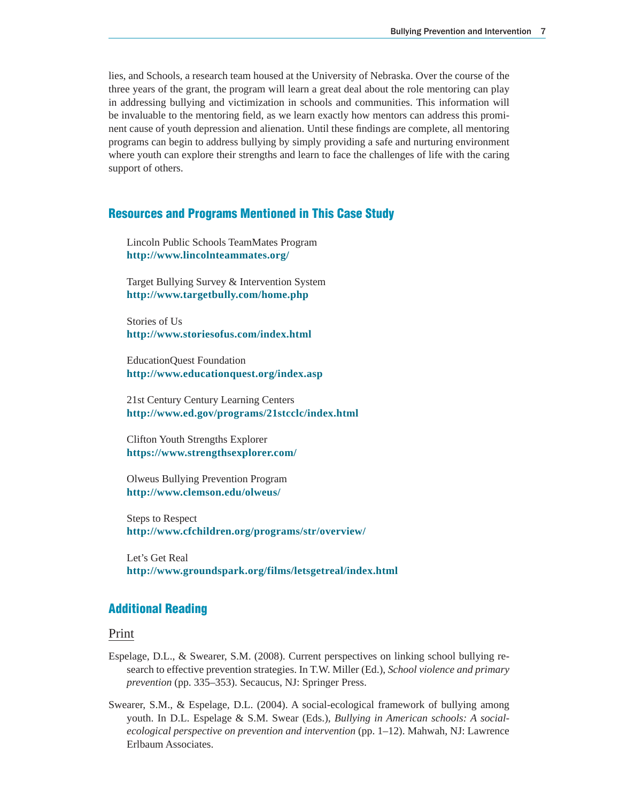lies, and Schools, a research team housed at the University of Nebraska. Over the course of the three years of the grant, the program will learn a great deal about the role mentoring can play in addressing bullying and victimization in schools and communities. This information will be invaluable to the mentoring field, as we learn exactly how mentors can address this prominent cause of youth depression and alienation. Until these findings are complete, all mentoring programs can begin to address bullying by simply providing a safe and nurturing environment where youth can explore their strengths and learn to face the challenges of life with the caring support of others.

#### **Resources and Programs Mentioned in This Case Study**

 Lincoln Public Schools TeamMates Program **http://www.lincolnteammates.org/** 

 Target Bullying Survey & Intervention System **http://www.targetbully.com/home.php** 

 Stories of Us **http://www.storiesofus.com/index.html**

 EducationQuest Foundation **http://www.educationquest.org/index.asp**

 21st Century Century Learning Centers **http://www.ed.gov/programs/21stcclc/index.html** 

 Clifton Youth Strengths Explorer **https://www.strengthsexplorer.com/** 

 Olweus Bullying Prevention Program **http://www.clemson.edu/olweus/**

 Steps to Respect **http://www.cfchildren.org/programs/str/overview/** 

 Let's Get Real **http://www.groundspark.org/films/letsgetreal/index.html** 

## **Additional Reading**

#### Print

- Espelage, D.L., & Swearer, S.M. (2008). Current perspectives on linking school bullying research to effective prevention strategies. In T.W. Miller (Ed.), *School violence and primary prevention* (pp. 335–353). Secaucus, NJ: Springer Press.
- Swearer, S.M., & Espelage, D.L. (2004). A social-ecological framework of bullying among youth. In D.L. Espelage & S.M. Swear (Eds.), *Bullying in American schools: A socialecological perspective on prevention and intervention* (pp. 1–12). Mahwah, NJ: Lawrence Erlbaum Associates.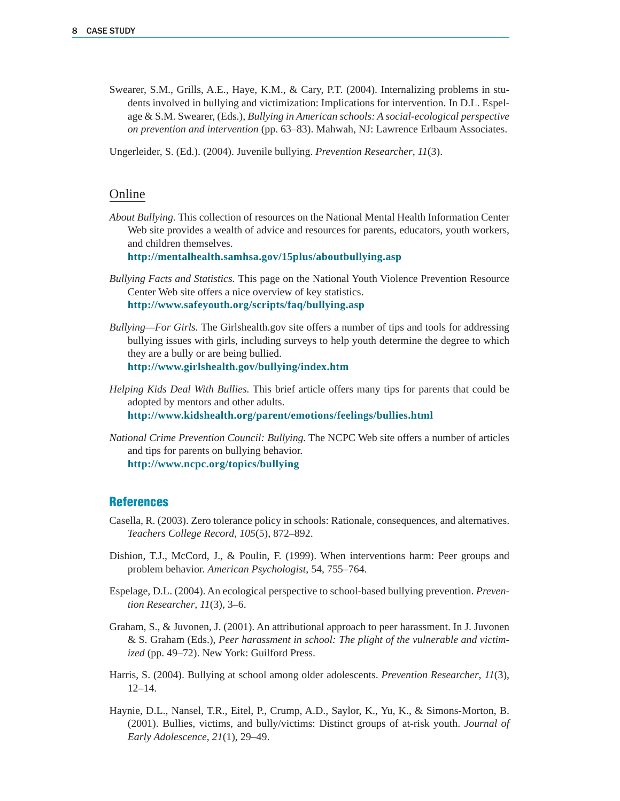Swearer, S.M., Grills, A.E., Haye, K.M., & Cary, P.T. (2004). Internalizing problems in students involved in bullying and victimization: Implications for intervention. In D.L. Espelage & S.M. Swearer, (Eds.), *Bullying in American schools: A social-ecological perspective on prevention and intervention* (pp. 63–83). Mahwah, NJ: Lawrence Erlbaum Associates.

Ungerleider, S. (Ed.). (2004). Juvenile bullying. *Prevention Researcher*, *11*(3).

#### Online

*About Bullying.* This collection of resources on the National Mental Health Information Center Web site provides a wealth of advice and resources for parents, educators, youth workers, and children themselves.

 **http://mentalhealth.samhsa.gov/15plus/aboutbullying.asp** 

- *Bullying Facts and Statistics.* This page on the National Youth Violence Prevention Resource Center Web site offers a nice overview of key statistics.  **http://www.safeyouth.org/scripts/faq/bullying.asp**
- *Bullying—For Girls.* The Girlshealth.gov site offers a number of tips and tools for addressing bullying issues with girls, including surveys to help youth determine the degree to which they are a bully or are being bullied.  **http://www.girlshealth.gov/bullying/index.htm**
- *Helping Kids Deal With Bullies.* This brief article offers many tips for parents that could be adopted by mentors and other adults.  **http://www.kidshealth.org/parent/emotions/feelings/bullies.html**
- *National Crime Prevention Council: Bullying.* The NCPC Web site offers a number of articles and tips for parents on bullying behavior.  **http://www.ncpc.org/topics/bullying**

### **References**

- Casella, R. (2003). Zero tolerance policy in schools: Rationale, consequences, and alternatives. *Teachers College Record*, *105*(5), 872–892.
- Dishion, T.J., McCord, J., & Poulin, F. (1999). When interventions harm: Peer groups and problem behavior. *American Psychologist*, 54, 755–764.
- Espelage, D.L. (2004). An ecological perspective to school-based bullying prevention. *Prevention Researcher*, *11*(3), 3–6.
- Graham, S., & Juvonen, J. (2001). An attributional approach to peer harassment. In J. Juvonen & S. Graham (Eds.), *Peer harassment in school: The plight of the vulnerable and victimized* (pp. 49–72). New York: Guilford Press.
- Harris, S. (2004). Bullying at school among older adolescents. *Prevention Researcher*, *11*(3), 12–14.
- Haynie, D.L., Nansel, T.R., Eitel, P., Crump, A.D., Saylor, K., Yu, K., & Simons-Morton, B. (2001). Bullies, victims, and bully/victims: Distinct groups of at-risk youth. *Journal of Early Adolescence*, *21*(1), 29–49.